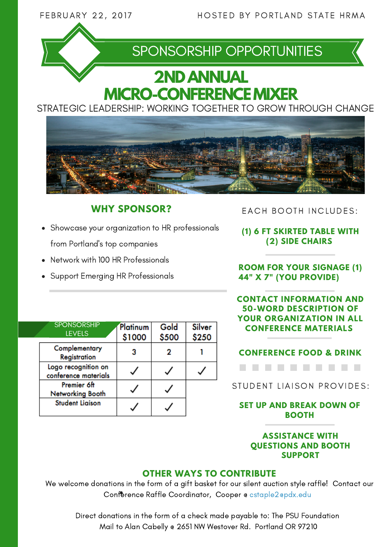

## SPONSORSHIP OPPORTUNITIES

# **2NDANNUAL MICRO-CONFERENCE MIXER**

STRATEGIC LEADERSHIP: WORKING TOGETHER TO GROW THROUGH CHANGE



### **WHY SPONSOR?**

- Showcase your organization to HR professionals from Portland's top companies
- Network with 100 HR Professionals
- Support Emerging HR Professionals

EACH BOOTH INCLUDES:

**(1) 6 FT SKIRTED TABLE WITH (2) SIDE CHAIRS**

**ROOM FOR YOUR SIGNAGE (1) 44" X 7" (YOU PROVIDE)**

**CONTACT INFORMATION AND 50-WORD DESCRIPTION OF YOUR ORGANIZATION IN ALL CONFERENCE MATERIALS**

|  | <b>SPONSORSHIP</b><br><b>LEVELS</b>         | Platinum<br>\$1000 | Gold<br>\$500 | Silver<br>\$250 |
|--|---------------------------------------------|--------------------|---------------|-----------------|
|  | Complementary<br>Registration               |                    |               |                 |
|  | Logo recognition on<br>conference materials |                    |               |                 |
|  | Premier 6ft<br>Networking Booth             |                    |               |                 |
|  | <b>Student Liaison</b>                      |                    |               |                 |

**CONFERENCE FOOD & DRINK** . . . . . . .

STUDENT LIAISON PROVIDES:

**SET UP AND BREAK DOWN OF BOOTH**

#### **ASSISTANCE WITH QUESTIONS AND BOOTH SUPPORT**

#### **OTHER WAYS TO CONTRIBUTE**

We welcome donations in the form of a gift basket for our silent auction style raffle! Contact our Conference Raffle Coordinator, Cooper @ cstaple2@pdx.edu

Direct donations in the form of a check made payable to: The PSU Foundation Mail to Alan Cabelly @ 2651 NW Westover Rd. Portland OR 97210